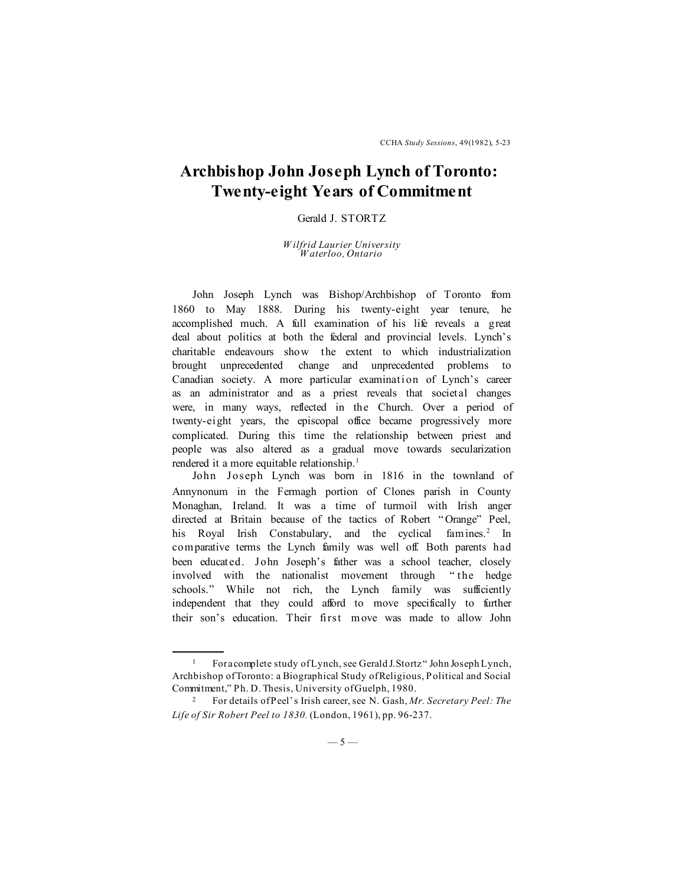## **Archbishop John Joseph Lynch of Toronto: Twenty-eight Years of Commitment**

## Gerald J. STORTZ

## *W ilfrid Laurier University W aterloo, Ontario*

John Joseph Lynch was Bishop/Archbishop of Toronto from 1860 to May 1888. During his twenty-eight year tenure, he accomplished much. A full examination of his life reveals a great deal about politics at both the federal and provincial levels. Lynch's charitable endeavours show the extent to which industrialization brought unprecedented change and unprecedented problems to Canadian society. A more particular examination of Lynch's career as an administrator and as a priest reveals that societal changes were, in many ways, reflected in the Church. Over a period of twenty-eight years, the episcopal office became progressively more complicated. During this time the relationship between priest and people was also altered as a gradual move towards secularization rendered it a more equitable relationship.<sup>1</sup>

John Joseph Lynch was born in 1816 in the townland of Annynonum in the Fermagh portion of Clones parish in County Monaghan, Ireland. It was a time of turmoil with Irish anger directed at Britain because of the tactics of Robert " Orange" Peel, his Royal Irish Constabulary, and the cyclical famines.<sup>2</sup> In comparative terms the Lynch family was well off. Both parents had been educated. John Joseph's father was a school teacher, closely involved with the nationalist movement through " the hedge schools." While not rich, the Lynch family was sufficiently independent that they could afford to move specifically to further their son's education. Their first move was made to allow John

For a complete study of Lynch, see Gerald J. Stortz "John Joseph Lynch, Archbishop of Toronto: a Biographical Study of Religious, Political and Social Commitment," Ph. D. Thesis, University of Guelph, 1980.

<sup>2</sup> For details of Peel's Irish career, see N. Gash, *Mr. Secretary Peel: The Life of Sir Robert Peel to 1830.* (London, 1961), pp. 96-237.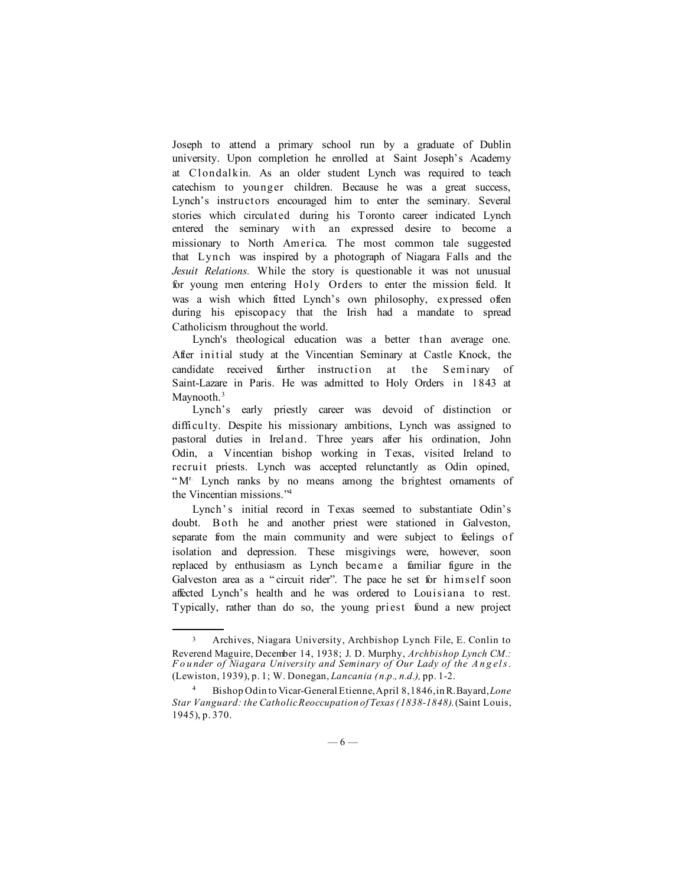Joseph to attend a primary school run by a graduate of Dublin university. Upon completion he enrolled at Saint Joseph's Academy at Clondalkin. As an older student Lynch was required to teach catechism to younger children. Because he was a great success, Lynch's instructors encouraged him to enter the seminary. Several stories which circulated during his Toronto career indicated Lynch entered the seminary with an expressed desire to become a missionary to North America. The most common tale suggested that Lynch was inspired by a photograph of Niagara Falls and the *Jesuit Relations.* While the story is questionable it was not unusual for young men entering Holy Orders to enter the mission field. It was a wish which fitted Lynch's own philosophy, expressed often during his episcopacy that the Irish had a mandate to spread Catholicism throughout the world.

Lynch's theological education was a better than average one. After initial study at the Vincentian Seminary at Castle Knock, the candidate received further instruction at the Seminary of Saint-Lazare in Paris. He was admitted to Holy Orders in 1843 at Maynooth.<sup>3</sup>

Lynch's early priestly career was devoid of distinction or difficulty. Despite his missionary ambitions, Lynch was assigned to pastoral duties in Ireland. Three years after his ordination, John Odin, a Vincentian bishop working in Texas, visited Ireland to recruit priests. Lynch was accepted relunctantly as Odin opined, "M<sup>r.</sup> Lynch ranks by no means among the brightest ornaments of the Vincentian missions."4

Lynch's initial record in Texas seemed to substantiate Odin's doubt. B oth he and another priest were stationed in Galveston, separate from the main community and were subject to feelings of isolation and depression. These misgivings were, however, soon replaced by enthusiasm as Lynch became a familiar figure in the Galveston area as a " circuit rider". The pace he set for himself soon affected Lynch's health and he was ordered to Louisiana to rest. Typically, rather than do so, the young priest found a new project

<sup>3</sup> Archives, Niagara University, Archbishop Lynch File, E. Conlin to Reverend Maguire, December 14, 1938; J. D. Murphy, *Archbishop Lynch CM.: F o u nder of Niagara University and Seminary of Our Lady of the A n g el s .* (Lewiston, 1939), p. 1; W. Donegan, *Lancania (n.p., n.d.),* pp. 1-2.

<sup>4</sup> Bishop Odin to Vicar-General Etienne, April 8, 1846, in R. Bayard, *Lone Star Vanguard: the Catholic Reoccupation of Texas (1838-1848).* (Saint Louis, 1945), p. 370.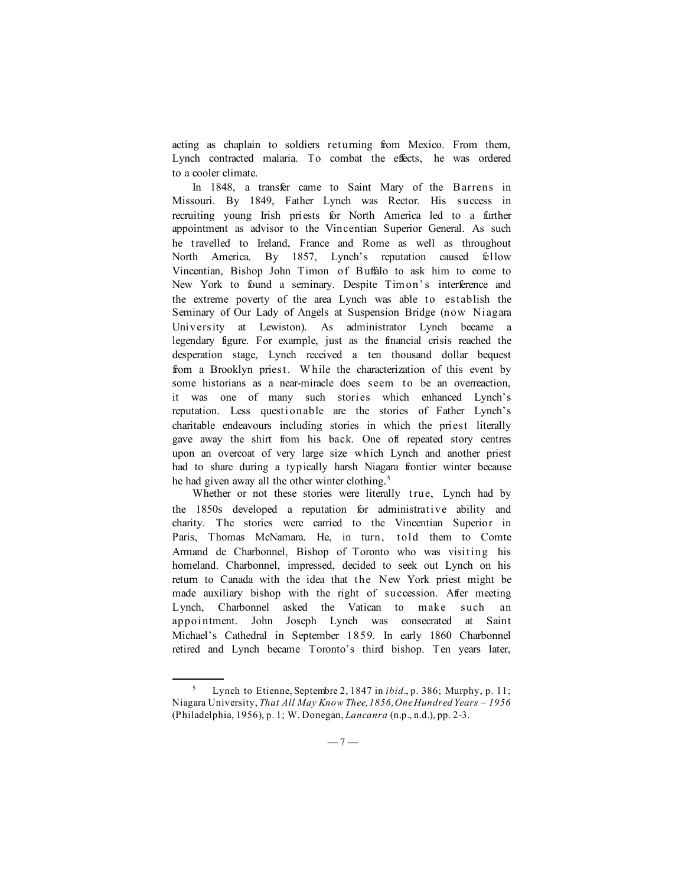acting as chaplain to soldiers returning from Mexico. From them, Lynch contracted malaria. To combat the effects, he was ordered to a cooler climate.

In 1848, a transfer came to Saint Mary of the B arrens in Missouri. By 1849, Father Lynch was Rector. His success in recruiting young Irish priests for North America led to a further appointment as advisor to the Vincentian Superior General. As such he travelled to Ireland, France and Rome as well as throughout North America. By 1857, Lynch's reputation caused fellow Vincentian, Bishop John Timon of Buffalo to ask him to come to New York to found a seminary. Despite Timon's interference and the extreme poverty of the area Lynch was able to establish the Seminary of Our Lady of Angels at Suspension Bridge (now Niagara University at Lewiston). As administrator Lynch became a legendary figure. For example, just as the financial crisis reached the desperation stage, Lynch received a ten thousand dollar bequest from a Brooklyn priest. W hile the characterization of this event by some historians as a near-miracle does seem to be an overreaction, it was one of many such stories which enhanced Lynch's reputation. Less questionable are the stories of Father Lynch's charitable endeavours including stories in which the priest literally gave away the shirt from his back. One oft repeated story centres upon an overcoat of very large size which Lynch and another priest had to share during a typically harsh Niagara frontier winter because he had given away all the other winter clothing.<sup>5</sup>

Whether or not these stories were literally true, Lynch had by the 1850s developed a reputation for administrative ability and charity. The stories were carried to the Vincentian Superior in Paris, Thomas McNamara. He, in turn, told them to Comte Armand de Charbonnel, Bishop of Toronto who was visiting his homeland. Charbonnel, impressed, decided to seek out Lynch on his return to Canada with the idea that the New York priest might be made auxiliary bishop with the right of succession. After meeting Lynch, Charbonnel asked the Vatican to make such an appointment. John Joseph Lynch was consecrated at Saint Michael's Cathedral in September 1859. In early 1860 Charbonnel retired and Lynch became Toronto's third bishop. Ten years later,

<sup>5</sup> Lynch to Etienne, Septembre 2, 1847 in *ibid*., p. 386; Murphy, p. 11; Niagara University, *That All May Know Thee, 1856, One Hundred Years – 1956* (Philadelphia, 1956), p. 1; W. Donegan, *Lancanra* (n.p., n.d.), pp. 2-3.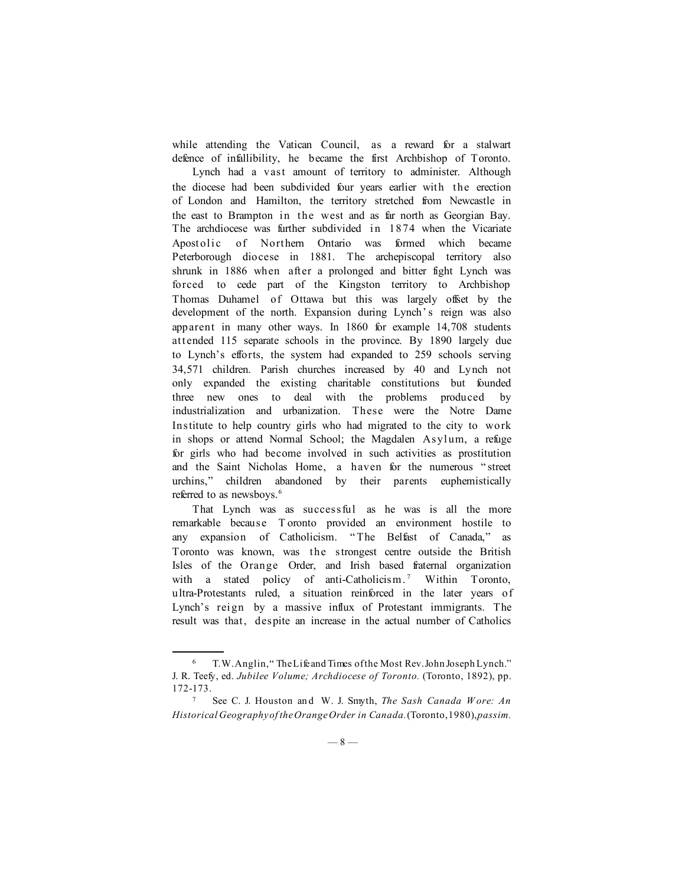while attending the Vatican Council, as a reward for a stalwart defence of infallibility, he became the first Archbishop of Toronto.

Lynch had a vast amount of territory to administer. Although the diocese had been subdivided four years earlier with the erection of London and Hamilton, the territory stretched from Newcastle in the east to Brampton in the west and as far north as Georgian Bay. The archdiocese was further subdivided in 1874 when the Vicariate Apostolic of Northern Ontario was formed which became Peterborough diocese in 1881. The archepiscopal territory also shrunk in 1886 when after a prolonged and bitter fight Lynch was forced to cede part of the Kingston territory to Archbishop Thomas Duhamel of Ottawa but this was largely offset by the development of the north. Expansion during Lynch's reign was also apparent in many other ways. In 1860 for example 14,708 students attended 115 separate schools in the province. By 1890 largely due to Lynch's efforts, the system had expanded to 259 schools serving 34,571 children. Parish churches increased by 40 and Lynch not only expanded the existing charitable constitutions but founded three new ones to deal with the problems produced by industrialization and urbanization. These were the Notre Dame Institute to help country girls who had migrated to the city to work in shops or attend Normal School; the Magdalen Asylum, a refuge for girls who had become involved in such activities as prostitution and the Saint Nicholas Home, a haven for the numerous " street urchins," children abandoned by their parents euphemistically referred to as newsboys.<sup>6</sup>

That Lynch was as successful as he was is all the more remarkable because T oronto provided an environment hostile to any expansion of Catholicism. " The Belfast of Canada," as Toronto was known, was the strongest centre outside the British Isles of the Orange Order, and Irish based fraternal organization with a stated policy of anti-Catholicism.<sup>7</sup> Within Toronto, ultra-Protestants ruled, a situation reinforced in the later years of Lynch's reign by a massive influx of Protestant immigrants. The result was that, despite an increase in the actual number of Catholics

<sup>6</sup> T. W. Anglin, " The Life and Times of the Most Rev. John Joseph Lynch." J. R. Teefy, ed. *Jubilee Volume; Archdiocese of Toronto.* (Toronto, 1892), pp. 172-173.

<sup>7</sup> See C. J. Houston an d W. J. Smyth, *The Sash Canada W ore: An Historical Geography of the Orange Order in Canada.* (Toronto, 1980), *passim.*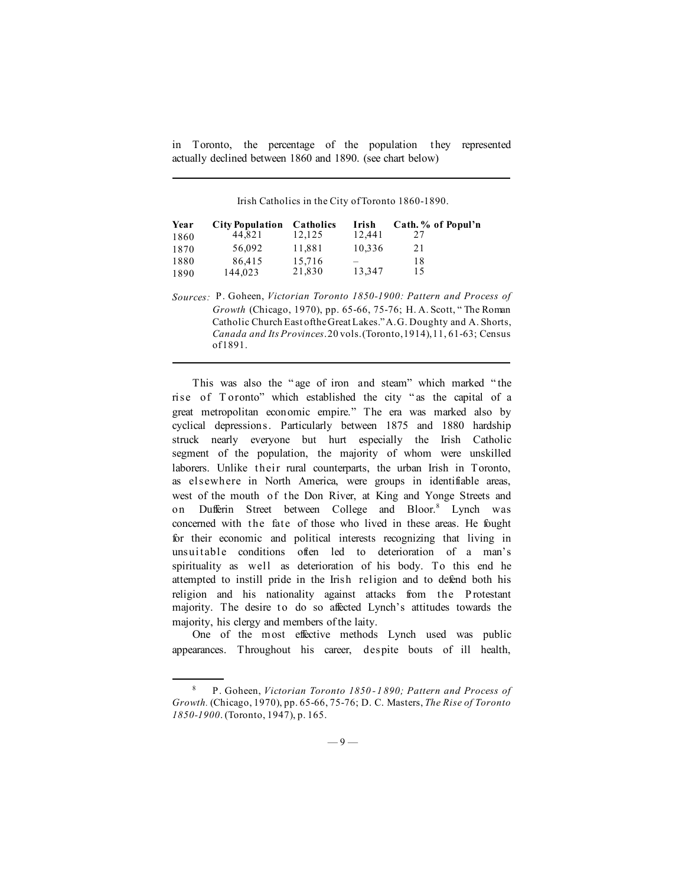in Toronto, the percentage of the population they represented actually declined between 1860 and 1890. (see chart below)

Irish Catholics in the City of Toronto 1860-1890.

| Year | <b>City Population</b> | Catholics | Irish  | Cath. % of Popul'n |
|------|------------------------|-----------|--------|--------------------|
| 1860 | 44.821                 | 12.125    | 12.441 | 27                 |
| 1870 | 56.092                 | 11.881    | 10.336 | 21                 |
| 1880 | 86.415                 | 15,716    |        | 18                 |
| 1890 | 144.023                | 21.830    | 13.347 | 15                 |

*Sources:* P. Goheen, *Victorian Toronto 1850-1900: Pattern and Process of Growth* (Chicago, 1970), pp. 65-66, 75-76; H. A. Scott, " The Roman Catholic Church East of the Great Lakes." A.G. Doughty and A. Shorts, *Canada and Its Provinces*. 20 vols. (Toronto, 1914), 11, 61-63; Census of 1891.

This was also the " age of iron and steam" which marked " the rise of T oronto" which established the city " as the capital of a great metropolitan economic empire." The era was marked also by cyclical depressions. Particularly between 1875 and 1880 hardship struck nearly everyone but hurt especially the Irish Catholic segment of the population, the majority of whom were unskilled laborers. Unlike their rural counterparts, the urban Irish in Toronto, as elsewhere in North America, were groups in identifiable areas, west of the mouth of the Don River, at King and Yonge Streets and on Dufferin Street between College and Bloor.<sup>8</sup> Lynch was concerned with the fate of those who lived in these areas. He fought for their economic and political interests recognizing that living in unsuitable conditions often led to deterioration of a man's spirituality as well as deterioration of his body. To this end he attempted to instill pride in the Irish religion and to defend both his religion and his nationality against attacks from the P rotestant majority. The desire to do so affected Lynch's attitudes towards the majority, his clergy and members of the laity.

One of the most effective methods Lynch used was public appearances. Throughout his career, despite bouts of ill health,

<sup>8</sup> P. Goheen, *Victorian Toronto 1850 -1 890; Pattern and Process of Growth.* (Chicago, 1970), pp. 65-66, 75-76; D. C. Masters, *The Rise of Toronto 1850-1900*. (Toronto, 1947), p. 165.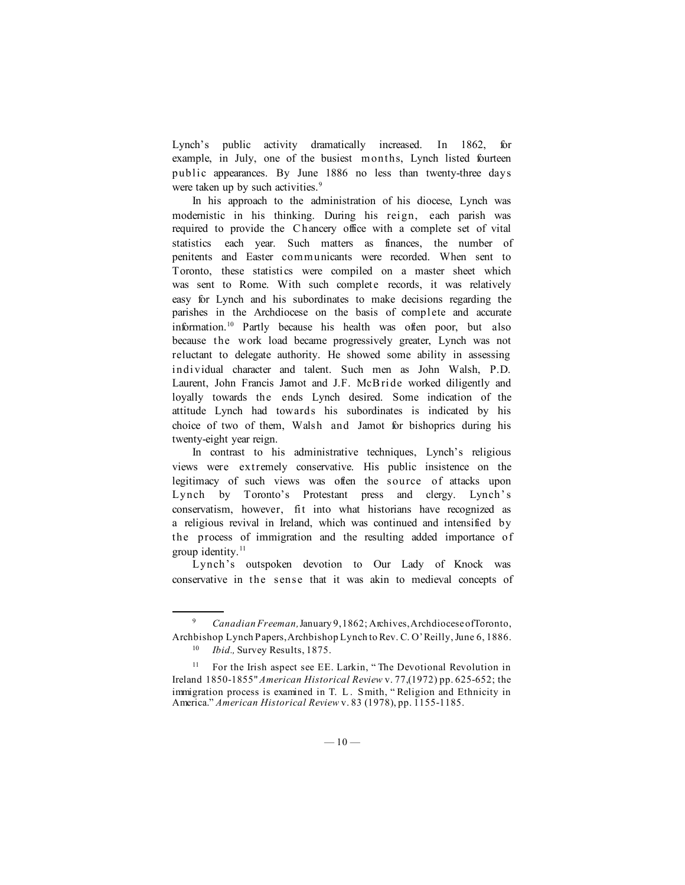Lynch's public activity dramatically increased. In 1862, for example, in July, one of the busiest months, Lynch listed fourteen public appearances. By June 1886 no less than twenty-three days were taken up by such activities.<sup>9</sup>

In his approach to the administration of his diocese, Lynch was modernistic in his thinking. During his reign, each parish was required to provide the C hancery office with a complete set of vital statistics each year. Such matters as finances, the number of penitents and Easter communicants were recorded. When sent to Toronto, these statistics were compiled on a master sheet which was sent to Rome. With such complete records, it was relatively easy for Lynch and his subordinates to make decisions regarding the parishes in the Archdiocese on the basis of complete and accurate information.10 Partly because his health was often poor, but also because the work load became progressively greater, Lynch was not reluctant to delegate authority. He showed some ability in assessing individual character and talent. Such men as John Walsh, P.D. Laurent, John Francis Jamot and J.F. McB ride worked diligently and loyally towards the ends Lynch desired. Some indication of the attitude Lynch had towards his subordinates is indicated by his choice of two of them, Walsh and Jamot for bishoprics during his twenty-eight year reign.

In contrast to his administrative techniques, Lynch's religious views were extremely conservative. His public insistence on the legitimacy of such views was often the source of attacks upon Lynch by Toronto's Protestant press and clergy. Lynch's conservatism, however, fit into what historians have recognized as a religious revival in Ireland, which was continued and intensified by the process of immigration and the resulting added importance of group identity.<sup>11</sup>

Lynch's outspoken devotion to Our Lady of Knock was conservative in the sense that it was akin to medieval concepts of

<sup>9</sup> *Canadian Freeman,* January 9, 1862; Archives, Archdiocese of Toronto, Archbishop Lynch Papers, Archbishop Lynch to Rev. C. O'Reilly, June 6, 1886.

*Ibid.*, Survey Results, 1875.

<sup>&</sup>lt;sup>11</sup> For the Irish aspect see EE. Larkin, "The Devotional Revolution in Ireland 1850-1855" *American Historical Review* v. 77,(1972) pp. 625-652; the immigration process is examined in T. L . Smith, " Religion and Ethnicity in America." *American Historical Review* v. 83 (1978), pp. 1155-1185.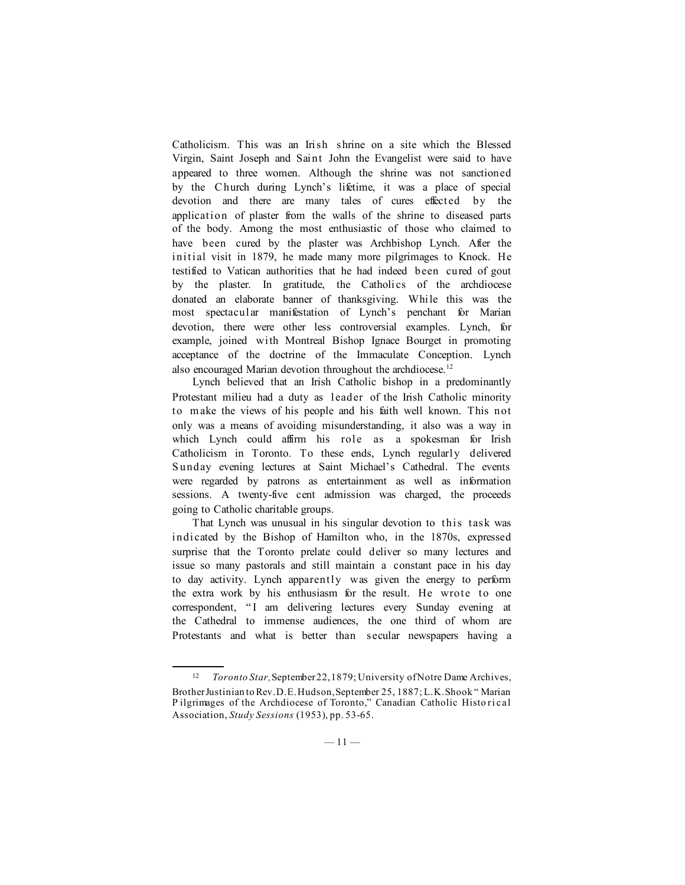Catholicism. This was an Irish shrine on a site which the Blessed Virgin, Saint Joseph and Saint John the Evangelist were said to have appeared to three women. Although the shrine was not sanctioned by the Church during Lynch's lifetime, it was a place of special devotion and there are many tales of cures effected by the application of plaster from the walls of the shrine to diseased parts of the body. Among the most enthusiastic of those who claimed to have been cured by the plaster was Archbishop Lynch. After the initial visit in 1879, he made many more pilgrimages to Knock. He testified to Vatican authorities that he had indeed been cured of gout by the plaster. In gratitude, the Catholics of the archdiocese donated an elaborate banner of thanksgiving. While this was the most spectacular manifestation of Lynch's penchant for Marian devotion, there were other less controversial examples. Lynch, for example, joined with Montreal Bishop Ignace Bourget in promoting acceptance of the doctrine of the Immaculate Conception. Lynch also encouraged Marian devotion throughout the archdiocese.<sup>12</sup>

Lynch believed that an Irish Catholic bishop in a predominantly Protestant milieu had a duty as leader of the Irish Catholic minority to make the views of his people and his faith well known. This not only was a means of avoiding misunderstanding, it also was a way in which Lynch could affirm his role as a spokesman for Irish Catholicism in Toronto. To these ends, Lynch regularly delivered Sunday evening lectures at Saint Michael's Cathedral. The events were regarded by patrons as entertainment as well as information sessions. A twenty-five cent admission was charged, the proceeds going to Catholic charitable groups.

That Lynch was unusual in his singular devotion to this task was indicated by the Bishop of Hamilton who, in the 1870s, expressed surprise that the Toronto prelate could deliver so many lectures and issue so many pastorals and still maintain a constant pace in his day to day activity. Lynch apparently was given the energy to perform the extra work by his enthusiasm for the result. He wrote to one correspondent, "I am delivering lectures every Sunday evening at the Cathedral to immense audiences, the one third of whom are Protestants and what is better than secular newspapers having a

<sup>12</sup> *Toronto Star,* September 22, 1879; University of Notre Dame Archives, Brother Justinian to Rev. D. E. Hudson, September 25, 1887; L. K. Shook " Marian P ilgrimages of the Archdiocese of Toronto," Canadian Catholic Histo ri cal Association, *Study Sessions* (1953), pp. 53-65.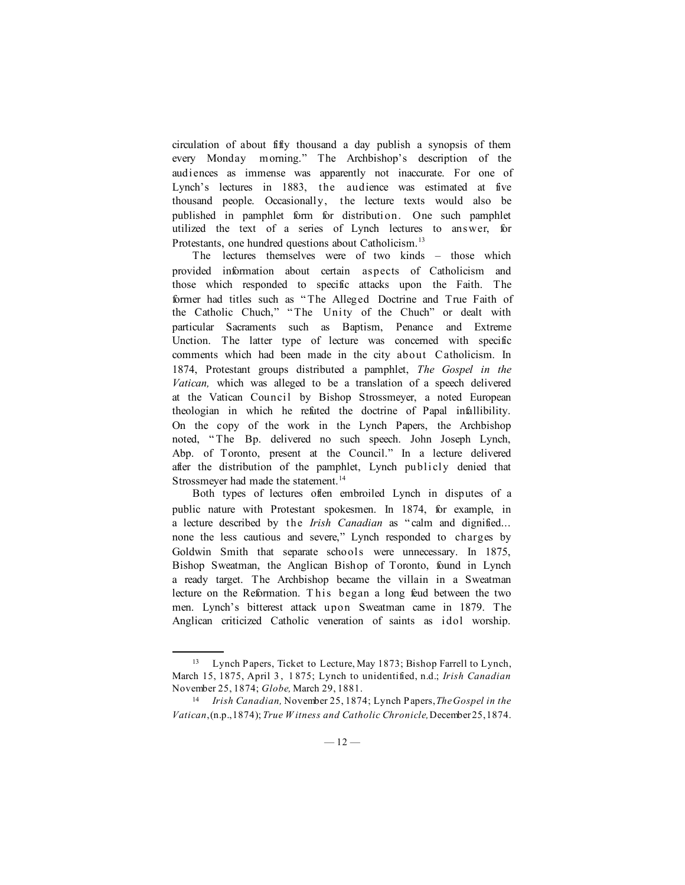circulation of about fifty thousand a day publish a synopsis of them every Monday morning." The Archbishop's description of the audiences as immense was apparently not inaccurate. For one of Lynch's lectures in 1883, the audience was estimated at five thousand people. Occasionally, the lecture texts would also be published in pamphlet form for distribution. One such pamphlet utilized the text of a series of Lynch lectures to answer, for Protestants, one hundred questions about Catholicism.<sup>13</sup>

The lectures themselves were of two kinds – those which provided information about certain aspects of Catholicism and those which responded to specific attacks upon the Faith. The former had titles such as " The Alleged Doctrine and True Faith of the Catholic Chuch," "The Unity of the Chuch" or dealt with particular Sacraments such as Baptism, Penance and Extreme Unction. The latter type of lecture was concerned with specific comments which had been made in the city about C atholicism. In 1874, Protestant groups distributed a pamphlet, *The Gospel in the Vatican,* which was alleged to be a translation of a speech delivered at the Vatican Council by Bishop Strossmeyer, a noted European theologian in which he refuted the doctrine of Papal infallibility. On the copy of the work in the Lynch Papers, the Archbishop noted, " The Bp. delivered no such speech. John Joseph Lynch, Abp. of Toronto, present at the Council." In a lecture delivered after the distribution of the pamphlet, Lynch publicly denied that Strossmeyer had made the statement.<sup>14</sup>

Both types of lectures often embroiled Lynch in disputes of a public nature with Protestant spokesmen. In 1874, for example, in a lecture described by the *Irish Canadian* as " calm and dignified... none the less cautious and severe," Lynch responded to charges by Goldwin Smith that separate schools were unnecessary. In 1875, Bishop Sweatman, the Anglican Bishop of Toronto, found in Lynch a ready target. The Archbishop became the villain in a Sweatman lecture on the Reformation. T his began a long feud between the two men. Lynch's bitterest attack upon Sweatman came in 1879. The Anglican criticized Catholic veneration of saints as idol worship.

<sup>13</sup> Lynch Papers, Ticket to Lecture, May 1873; Bishop Farrell to Lynch, March 15, 1875, April 3 , 1 875; Lynch to unidentified, n.d.; *Irish Canadian* November 25, 1874; *Globe,* March 29, 1881.

<sup>14</sup> *Irish Canadian,* November 25, 1874; Lynch Papers, *The Gospel in the Vatican*, (n.p., 1874); *True W itness and Catholic Chronicle,* December 25, 1874.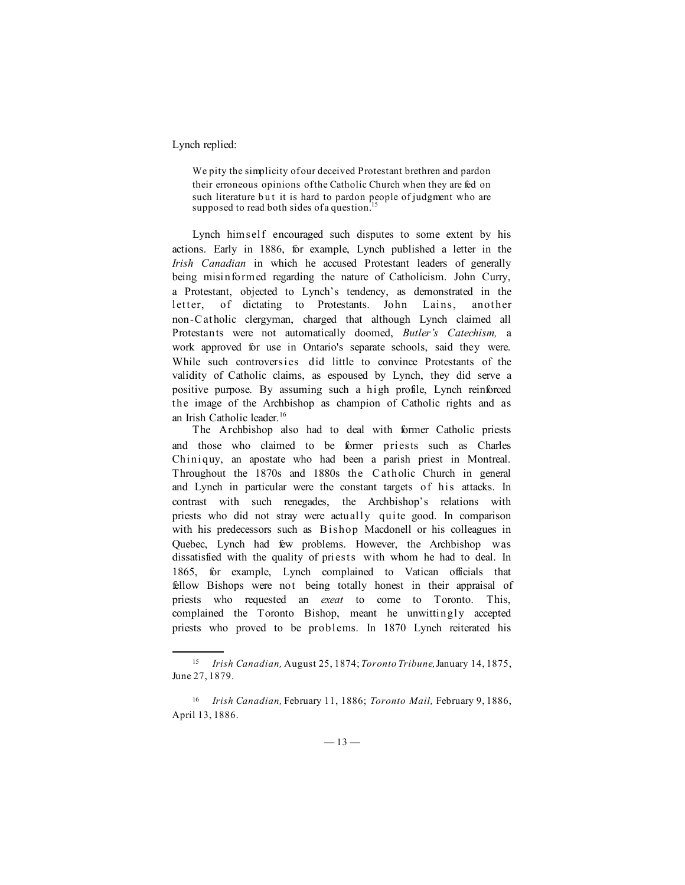## Lynch replied:

We pity the simplicity of our deceived Protestant brethren and pardon their erroneous opinions of the Catholic Church when they are fed on such literature but it is hard to pardon people of judgment who are supposed to read both sides of a question.<sup>1</sup>

Lynch himself encouraged such disputes to some extent by his actions. Early in 1886, for example, Lynch published a letter in the *Irish Canadian* in which he accused Protestant leaders of generally being misinformed regarding the nature of Catholicism. John Curry, a Protestant, objected to Lynch's tendency, as demonstrated in the letter, of dictating to Protestants. John Lains, another non-C atholic clergyman, charged that although Lynch claimed all Protestants were not automatically doomed, *Butler's Catechism,* a work approved for use in Ontario's separate schools, said they were. While such controversies did little to convince Protestants of the validity of Catholic claims, as espoused by Lynch, they did serve a positive purpose. By assuming such a high profile, Lynch reinforced the image of the Archbishop as champion of Catholic rights and as an Irish Catholic leader.16

The Archbishop also had to deal with former Catholic priests and those who claimed to be former priests such as Charles Chiniquy, an apostate who had been a parish priest in Montreal. Throughout the 1870s and 1880s the C atholic Church in general and Lynch in particular were the constant targets of his attacks. In contrast with such renegades, the Archbishop's relations with priests who did not stray were actually quite good. In comparison with his predecessors such as Bishop Macdonell or his colleagues in Quebec, Lynch had few problems. However, the Archbishop was dissatisfied with the quality of priests with whom he had to deal. In 1865, for example, Lynch complained to Vatican officials that fellow Bishops were not being totally honest in their appraisal of priests who requested an *exeat* to come to Toronto. This, complained the Toronto Bishop, meant he unwittingly accepted priests who proved to be problems. In 1870 Lynch reiterated his

<sup>15</sup> *Irish Canadian,* August 25, 1874; *Toronto Tribune,* January 14, 1875, June 27, 1879.

<sup>16</sup> *Irish Canadian,* February 11, 1886; *Toronto Mail,* February 9, 1886, April 13, 1886.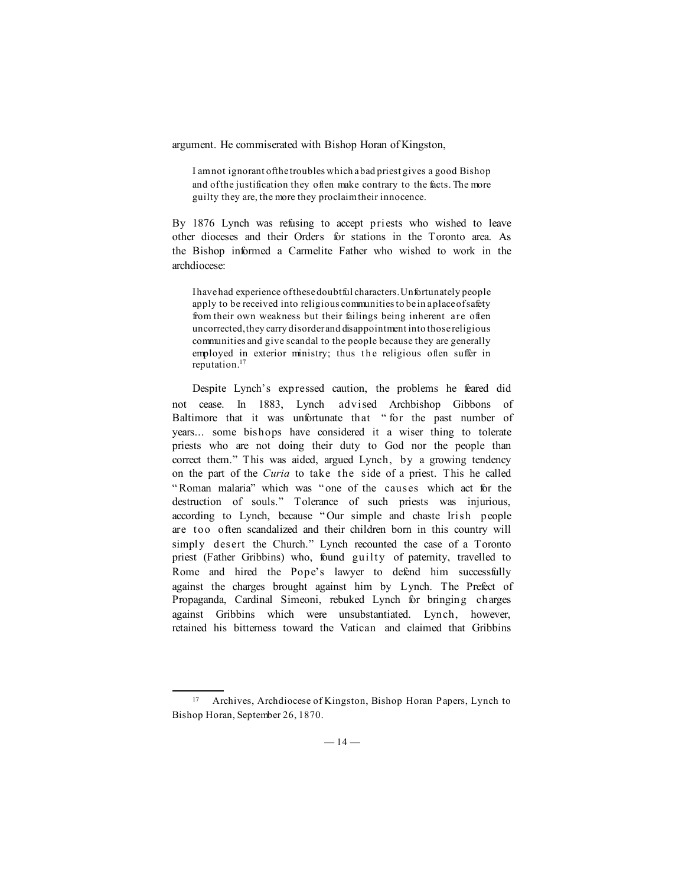argument. He commiserated with Bishop Horan of Kingston,

I am not ignorant of the troubles which a bad priest gives a good Bishop and of the justification they often make contrary to the facts. The more guilty they are, the more they proclaim their innocence.

By 1876 Lynch was refusing to accept priests who wished to leave other dioceses and their Orders for stations in the Toronto area. As the Bishop informed a Carmelite Father who wished to work in the archdiocese:

I have had experience of these doubtful characters. Unfortunately people apply to be received into religious communities to be in a place of safety from their own weakness but their failings being inherent are often uncorrected, they carry disorder and disappointment into those religious communities and give scandal to the people because they are generally employed in exterior ministry; thus the religious often suffer in reputation.17

Despite Lynch's expressed caution, the problems he feared did not cease. In 1883, Lynch advised Archbishop Gibbons of Baltimore that it was unfortunate that " for the past number of years... some bishops have considered it a wiser thing to tolerate priests who are not doing their duty to God nor the people than correct them." This was aided, argued Lynch, by a growing tendency on the part of the *Curia* to take the side of a priest. This he called " Roman malaria" which was " one of the causes which act for the destruction of souls." Tolerance of such priests was injurious, according to Lynch, because " Our simple and chaste Irish people are too often scandalized and their children born in this country will simply desert the Church." Lynch recounted the case of a Toronto priest (Father Gribbins) who, found guilty of paternity, travelled to Rome and hired the Pope's lawyer to defend him successfully against the charges brought against him by Lynch. The Prefect of Propaganda, Cardinal Simeoni, rebuked Lynch for bringing charges against Gribbins which were unsubstantiated. Lynch, however, retained his bitterness toward the Vatican and claimed that Gribbins

<sup>17</sup> Archives, Archdiocese of Kingston, Bishop Horan Papers, Lynch to Bishop Horan, September 26, 1870.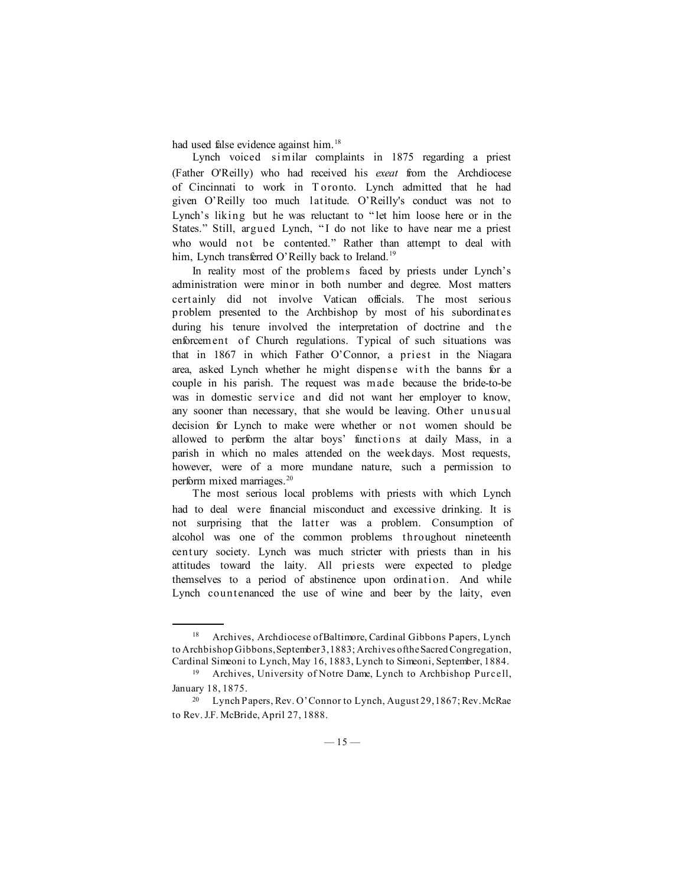had used false evidence against him.<sup>18</sup>

Lynch voiced similar complaints in 1875 regarding a priest (Father O'Reilly) who had received his *exeat* from the Archdiocese of Cincinnati to work in T oronto. Lynch admitted that he had given O'Reilly too much latitude. O'Reilly's conduct was not to Lynch's liking but he was reluctant to " let him loose here or in the States." Still, argued Lynch, "I do not like to have near me a priest who would not be contented." Rather than attempt to deal with him, Lynch transferred O'Reilly back to Ireland.<sup>19</sup>

In reality most of the problems faced by priests under Lynch's administration were minor in both number and degree. Most matters certainly did not involve Vatican officials. The most serious problem presented to the Archbishop by most of his subordinates during his tenure involved the interpretation of doctrine and the enforcement of Church regulations. Typical of such situations was that in 1867 in which Father O'Connor, a priest in the Niagara area, asked Lynch whether he might dispense with the banns for a couple in his parish. The request was made because the bride-to-be was in domestic service and did not want her employer to know, any sooner than necessary, that she would be leaving. Other unusual decision for Lynch to make were whether or not women should be allowed to perform the altar boys' functions at daily Mass, in a parish in which no males attended on the weekdays. Most requests, however, were of a more mundane nature, such a permission to perform mixed marriages.<sup>20</sup>

The most serious local problems with priests with which Lynch had to deal were financial misconduct and excessive drinking. It is not surprising that the latter was a problem. Consumption of alcohol was one of the common problems throughout nineteenth century society. Lynch was much stricter with priests than in his attitudes toward the laity. All priests were expected to pledge themselves to a period of abstinence upon ordination. And while Lynch countenanced the use of wine and beer by the laity, even

<sup>&</sup>lt;sup>18</sup> Archives, Archdiocese of Baltimore, Cardinal Gibbons Papers, Lynch to Archbishop Gibbons, September 3, 1883; Archives of the Sacred Congregation, Cardinal Simeoni to Lynch, May 16, 1883, Lynch to Simeoni, September, 1884.

<sup>19</sup> Archives, University of Notre Dame, Lynch to Archbishop Purcell, January 18, 1875.

<sup>20</sup> Lynch Papers, Rev. O'Connor to Lynch, August 29, 1867; Rev. McRae to Rev. J.F. McBride, April 27, 1888.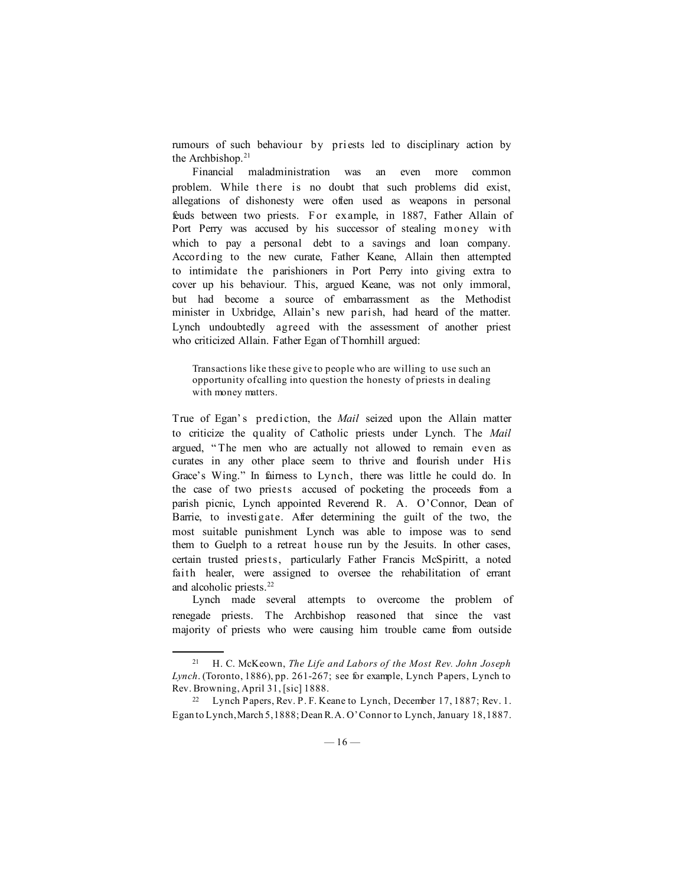rumours of such behaviour by priests led to disciplinary action by the Archbishop. $21$ 

Financial maladministration was an even more common problem. While there is no doubt that such problems did exist, allegations of dishonesty were often used as weapons in personal feuds between two priests. For example, in 1887, Father Allain of Port Perry was accused by his successor of stealing money with which to pay a personal debt to a savings and loan company. According to the new curate, Father Keane, Allain then attempted to intimidate the parishioners in Port Perry into giving extra to cover up his behaviour. This, argued Keane, was not only immoral, but had become a source of embarrassment as the Methodist minister in Uxbridge, Allain's new parish, had heard of the matter. Lynch undoubtedly agreed with the assessment of another priest who criticized Allain. Father Egan of Thornhill argued:

Transactions like these give to people who are willing to use such an opportunity of calling into question the honesty of priests in dealing with money matters.

True of Egan's prediction, the *Mail* seized upon the Allain matter to criticize the quality of Catholic priests under Lynch. The *Mail* argued, " The men who are actually not allowed to remain even as curates in any other place seem to thrive and flourish under His Grace's Wing." In fairness to Lynch, there was little he could do. In the case of two priests accused of pocketing the proceeds from a parish picnic, Lynch appointed Reverend R. A. O'Connor, Dean of Barrie, to investigate. After determining the guilt of the two, the most suitable punishment Lynch was able to impose was to send them to Guelph to a retreat house run by the Jesuits. In other cases, certain trusted priests, particularly Father Francis McSpiritt, a noted faith healer, were assigned to oversee the rehabilitation of errant and alcoholic priests.<sup>22</sup>

Lynch made several attempts to overcome the problem of renegade priests. The Archbishop reasoned that since the vast majority of priests who were causing him trouble came from outside

<sup>21</sup> H. C. McKeown, *The Life and Labors of the Most Rev. John Joseph Lynch*. (Toronto, 1886), pp. 261-267; see for example, Lynch Papers, Lynch to Rev. Browning, April 31, [sic] 1888.

<sup>22</sup> Lynch Papers, Rev. P. F. Keane to Lynch, December 17, 1887; Rev. 1. Egan to Lynch, March 5, 1888; Dean R. A. O'Connor to Lynch, January 18, 1887.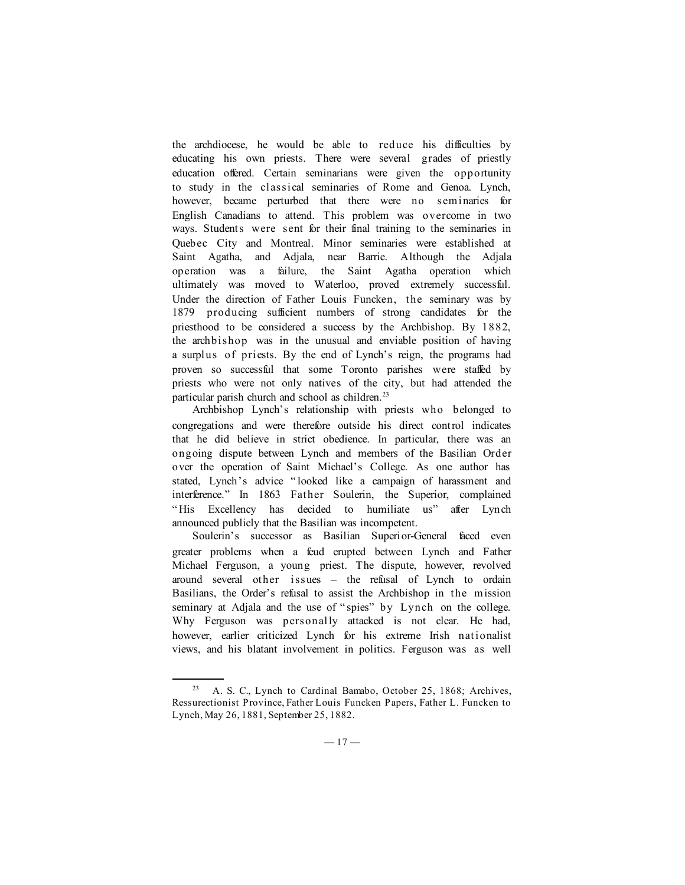the archdiocese, he would be able to reduce his difficulties by educating his own priests. There were several grades of priestly education offered. Certain seminarians were given the opportunity to study in the classical seminaries of Rome and Genoa. Lynch, however, became perturbed that there were no seminaries for English Canadians to attend. This problem was overcome in two ways. Students were sent for their final training to the seminaries in Quebec City and Montreal. Minor seminaries were established at Saint Agatha, and Adjala, near Barrie. Although the Adjala operation was a failure, the Saint Agatha operation which ultimately was moved to Waterloo, proved extremely successful. Under the direction of Father Louis Funcken, the seminary was by 1879 producing sufficient numbers of strong candidates for the priesthood to be considered a success by the Archbishop. By 1882, the archbishop was in the unusual and enviable position of having a surplus of priests. By the end of Lynch's reign, the programs had proven so successful that some Toronto parishes were staffed by priests who were not only natives of the city, but had attended the particular parish church and school as children.<sup>23</sup>

Archbishop Lynch's relationship with priests who belonged to congregations and were therefore outside his direct control indicates that he did believe in strict obedience. In particular, there was an ongoing dispute between Lynch and members of the Basilian Order over the operation of Saint Michael's College. As one author has stated, Lynch's advice " looked like a campaign of harassment and interference." In 1863 Father Soulerin, the Superior, complained " His Excellency has decided to humiliate us" after Lynch announced publicly that the Basilian was incompetent.

Soulerin's successor as Basilian Superior-General faced even greater problems when a feud erupted between Lynch and Father Michael Ferguson, a young priest. The dispute, however, revolved around several other issues – the refusal of Lynch to ordain Basilians, the Order's refusal to assist the Archbishop in the mission seminary at Adjala and the use of "spies" by Lynch on the college. Why Ferguson was personally attacked is not clear. He had, however, earlier criticized Lynch for his extreme Irish nationalist views, and his blatant involvement in politics. Ferguson was as well

<sup>23</sup> A. S. C., Lynch to Cardinal Bamabo, October 25, 1868; Archives, Ressurectionist Province, Father Louis Funcken Papers, Father L. Funcken to Lynch, May 26, 1881, September 25, 1882.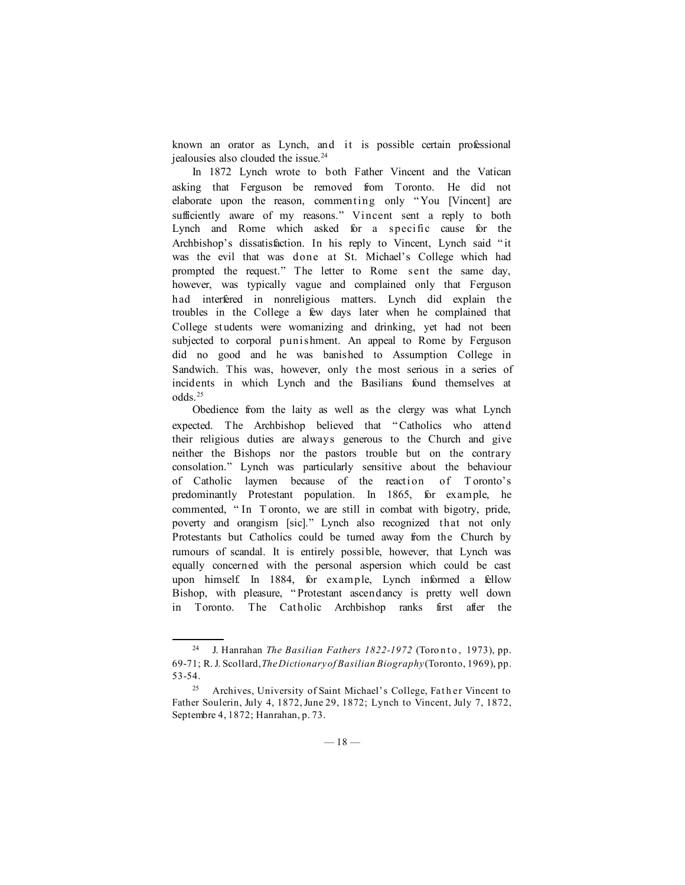known an orator as Lynch, and it is possible certain professional jealousies also clouded the issue.<sup>24</sup>

In 1872 Lynch wrote to both Father Vincent and the Vatican asking that Ferguson be removed from Toronto. He did not elaborate upon the reason, commenting only " You [Vincent] are sufficiently aware of my reasons." Vincent sent a reply to both Lynch and Rome which asked for a specific cause for the Archbishop's dissatisfaction. In his reply to Vincent, Lynch said " it was the evil that was done at St. Michael's College which had prompted the request." The letter to Rome sent the same day, however, was typically vague and complained only that Ferguson had interfered in nonreligious matters. Lynch did explain the troubles in the College a few days later when he complained that College students were womanizing and drinking, yet had not been subjected to corporal punishment. An appeal to Rome by Ferguson did no good and he was banished to Assumption College in Sandwich. This was, however, only the most serious in a series of incidents in which Lynch and the Basilians found themselves at odds.25

Obedience from the laity as well as the clergy was what Lynch expected. The Archbishop believed that " Catholics who attend their religious duties are always generous to the Church and give neither the Bishops nor the pastors trouble but on the contrary consolation." Lynch was particularly sensitive about the behaviour of Catholic laymen because of the reaction of T oronto's predominantly Protestant population. In 1865, for example, he commented, " In T oronto, we are still in combat with bigotry, pride, poverty and orangism [sic]." Lynch also recognized that not only Protestants but Catholics could be turned away from the Church by rumours of scandal. It is entirely possible, however, that Lynch was equally concerned with the personal aspersion which could be cast upon himself. In 1884, for example, Lynch informed a fellow Bishop, with pleasure, " Protestant ascendancy is pretty well down in Toronto. The Catholic Archbishop ranks first after the

<sup>&</sup>lt;sup>24</sup> J. Hanrahan *The Basilian Fathers 1822-1972* (Toronto, 1973), pp. 69-71; R. J. Scollard, *The Dictionary of Basilian Biography* (Toronto, 1969), pp. 53-54.

<sup>&</sup>lt;sup>25</sup> Archives, University of Saint Michael's College, Father Vincent to Father Soulerin, July 4, 1872, June 29, 1872; Lynch to Vincent, July 7, 1872, Septembre 4, 1872; Hanrahan, p. 73.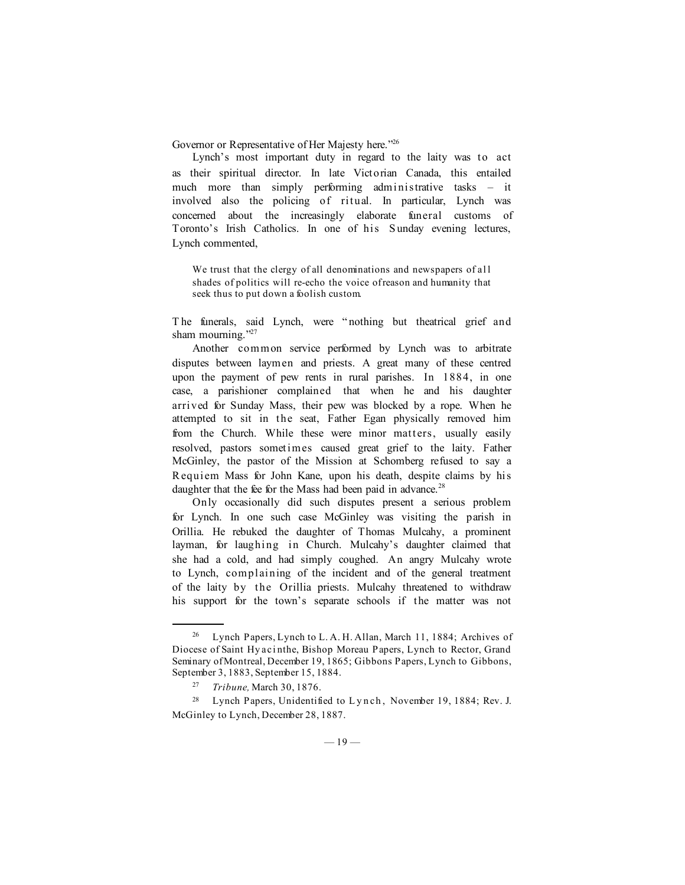Governor or Representative of Her Majesty here."<sup>26</sup>

Lynch's most important duty in regard to the laity was to act as their spiritual director. In late Victorian Canada, this entailed much more than simply performing administrative tasks – it involved also the policing of ritual. In particular, Lynch was concerned about the increasingly elaborate funeral customs of Toronto's Irish Catholics. In one of his Sunday evening lectures, Lynch commented,

We trust that the clergy of all denominations and newspapers of all shades of politics will re-echo the voice of reason and humanity that seek thus to put down a foolish custom.

T he funerals, said Lynch, were " nothing but theatrical grief and sham mourning."27

Another common service performed by Lynch was to arbitrate disputes between laymen and priests. A great many of these centred upon the payment of pew rents in rural parishes. In 1884, in one case, a parishioner complained that when he and his daughter arrived for Sunday Mass, their pew was blocked by a rope. When he attempted to sit in the seat, Father Egan physically removed him from the Church. While these were minor matters, usually easily resolved, pastors sometimes caused great grief to the laity. Father McGinley, the pastor of the Mission at Schomberg refused to say a R equiem Mass for John Kane, upon his death, despite claims by his daughter that the fee for the Mass had been paid in advance.<sup>28</sup>

Only occasionally did such disputes present a serious problem for Lynch. In one such case McGinley was visiting the parish in Orillia. He rebuked the daughter of Thomas Mulcahy, a prominent layman, for laughing in Church. Mulcahy's daughter claimed that she had a cold, and had simply coughed. An angry Mulcahy wrote to Lynch, complaining of the incident and of the general treatment of the laity by the Orillia priests. Mulcahy threatened to withdraw his support for the town's separate schools if the matter was not

<sup>26</sup> Lynch Papers, Lynch to L. A. H. Allan, March 11, 1884; Archives of Diocese of Saint Hy aci nthe, Bishop Moreau Papers, Lynch to Rector, Grand Seminary of Montreal, December 19, 1865; Gibbons Papers, Lynch to Gibbons, September 3, 1883, September 15, 1884.

<sup>27</sup> *Tribune,* March 30, 1876.

<sup>28</sup> Lynch Papers, Unidentified to L y n ch , November 19, 1884; Rev. J. McGinley to Lynch, December 28, 1887.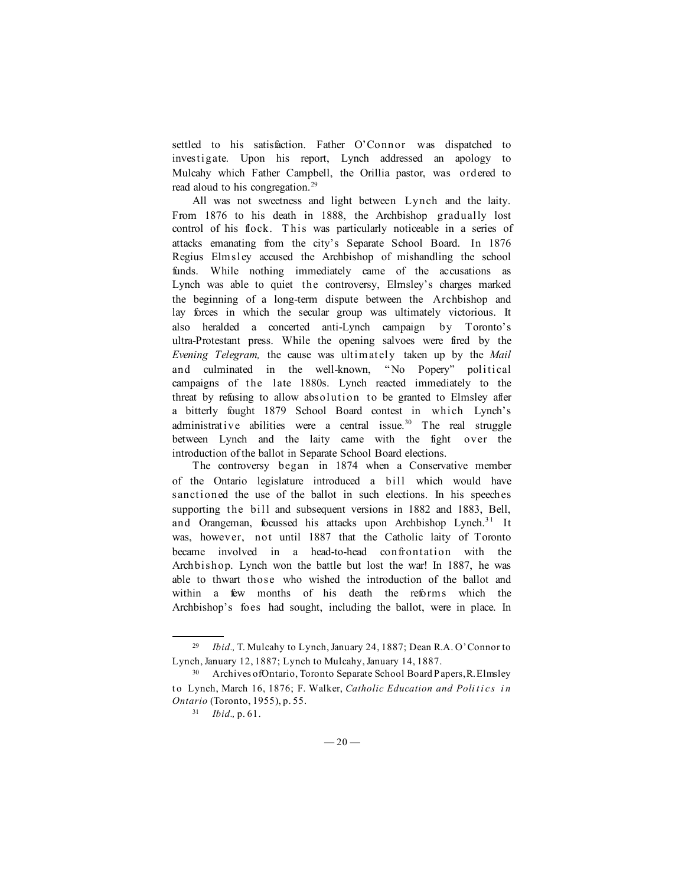settled to his satisfaction. Father O'Connor was dispatched to investigate. Upon his report, Lynch addressed an apology to Mulcahy which Father Campbell, the Orillia pastor, was ordered to read aloud to his congregation.<sup>29</sup>

All was not sweetness and light between Lynch and the laity. From 1876 to his death in 1888, the Archbishop gradually lost control of his flock. T his was particularly noticeable in a series of attacks emanating from the city's Separate School Board. In 1876 Regius Elmsley accused the Archbishop of mishandling the school funds. While nothing immediately came of the accusations as Lynch was able to quiet the controversy, Elmsley's charges marked the beginning of a long-term dispute between the Archbishop and lay forces in which the secular group was ultimately victorious. It also heralded a concerted anti-Lynch campaign by Toronto's ultra-Protestant press. While the opening salvoes were fired by the *Evening Telegram,* the cause was ultimately taken up by the *Mail* and culminated in the well-known, " No Popery" political campaigns of the late 1880s. Lynch reacted immediately to the threat by refusing to allow absolution to be granted to Elmsley after a bitterly fought 1879 School Board contest in which Lynch's administrative abilities were a central issue.<sup>30</sup> The real struggle between Lynch and the laity came with the fight over the introduction of the ballot in Separate School Board elections.

The controversy began in 1874 when a Conservative member of the Ontario legislature introduced a bill which would have sanctioned the use of the ballot in such elections. In his speeches supporting the bill and subsequent versions in 1882 and 1883, Bell, and Orangeman, focussed his attacks upon Archbishop Lynch.<sup>31</sup> It was, however, not until 1887 that the Catholic laity of Toronto became involved in a head-to-head confrontation with the Archbishop. Lynch won the battle but lost the war! In 1887, he was able to thwart those who wished the introduction of the ballot and within a few months of his death the reforms which the Archbishop's foes had sought, including the ballot, were in place. In

<sup>29</sup> *Ibid.,* T. Mulcahy to Lynch, January 24, 1887; Dean R.A. O'Connor to Lynch, January 12, 1887; Lynch to Mulcahy, January 14, 1887.

<sup>30</sup> Archives of Ontario, Toronto Separate School Board Papers, R. Elmsley t o Lynch, March 16, 1876; F. Walker, *Catholic Education and Politics in Ontario* (Toronto, 1955), p. 55.

<sup>31</sup> *Ibid.,* p. 61.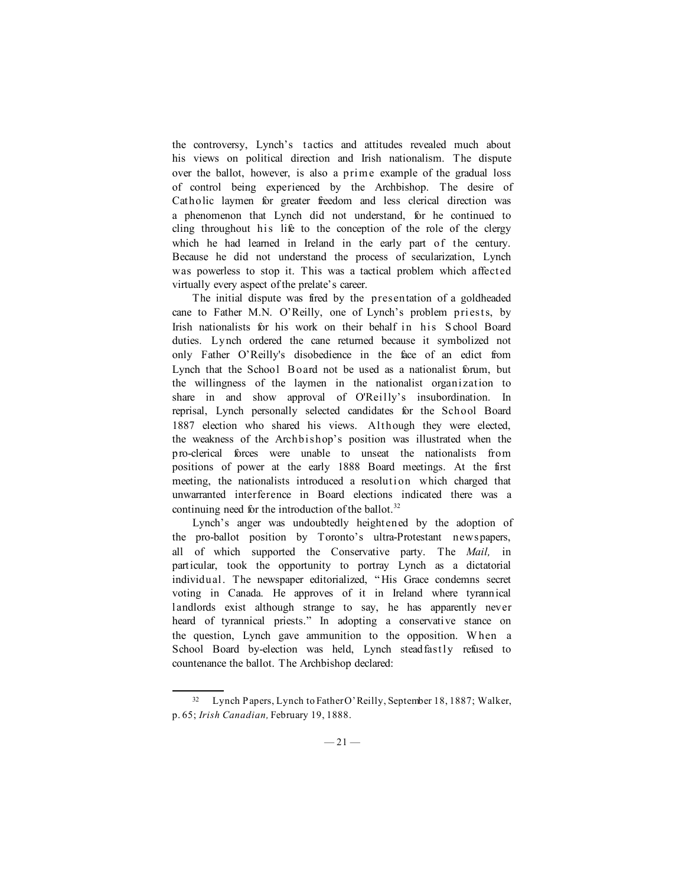the controversy, Lynch's tactics and attitudes revealed much about his views on political direction and Irish nationalism. The dispute over the ballot, however, is also a prime example of the gradual loss of control being experienced by the Archbishop. The desire of Catholic laymen for greater freedom and less clerical direction was a phenomenon that Lynch did not understand, for he continued to cling throughout his life to the conception of the role of the clergy which he had learned in Ireland in the early part of the century. Because he did not understand the process of secularization, Lynch was powerless to stop it. This was a tactical problem which affected virtually every aspect of the prelate's career.

The initial dispute was fired by the presentation of a goldheaded cane to Father M.N. O'Reilly, one of Lynch's problem priests, by Irish nationalists for his work on their behalf in his S chool Board duties. Lynch ordered the cane returned because it symbolized not only Father O'Reilly's disobedience in the face of an edict from Lynch that the School B oard not be used as a nationalist forum, but the willingness of the laymen in the nationalist organization to share in and show approval of O'Reilly's insubordination. In reprisal, Lynch personally selected candidates for the School Board 1887 election who shared his views. Although they were elected, the weakness of the Archbishop's position was illustrated when the pro-clerical forces were unable to unseat the nationalists from positions of power at the early 1888 Board meetings. At the first meeting, the nationalists introduced a resolution which charged that unwarranted interference in Board elections indicated there was a continuing need for the introduction of the ballot.<sup>32</sup>

Lynch's anger was undoubtedly heightened by the adoption of the pro-ballot position by Toronto's ultra-Protestant newspapers, all of which supported the Conservative party. The *Mail,* in particular, took the opportunity to portray Lynch as a dictatorial individual. The newspaper editorialized, " His Grace condemns secret voting in Canada. He approves of it in Ireland where tyrannical landlords exist although strange to say, he has apparently never heard of tyrannical priests." In adopting a conservative stance on the question, Lynch gave ammunition to the opposition. W hen a School Board by-election was held, Lynch steadfastly refused to countenance the ballot. The Archbishop declared:

<sup>32</sup> Lynch Papers, Lynch to Father O'Reilly, September 18, 1887; Walker, p. 65; *Irish Canadian,* February 19, 1888.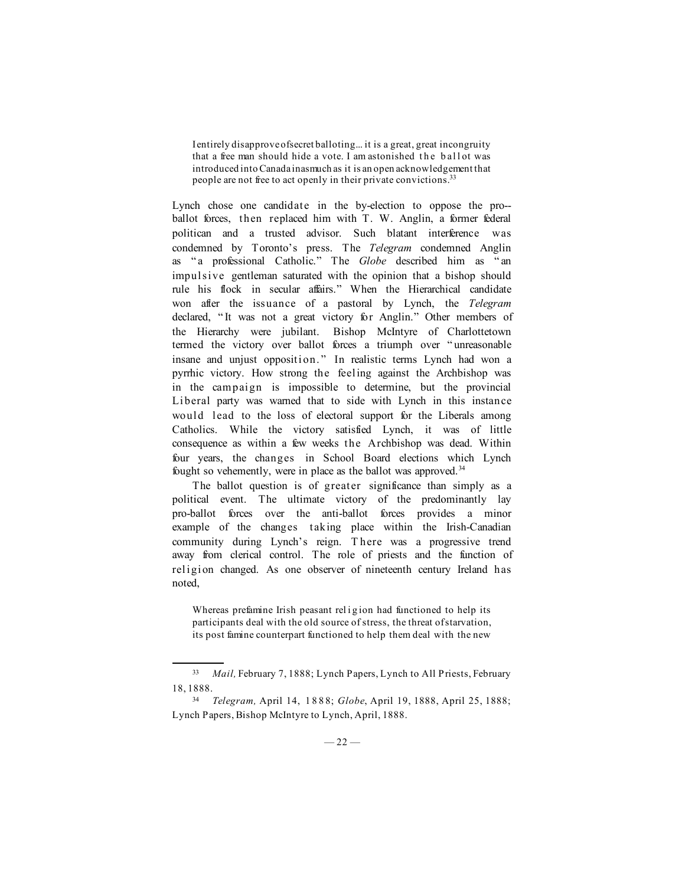I entirely disapprove of secret balloting... it is a great, great incongruity that a free man should hide a vote. I am astonished the ball ot was introduced into Canada inasmuch as it is an open acknowledgement that people are not free to act openly in their private convictions.33

Lynch chose one candidate in the by-election to oppose the pro- ballot forces, then replaced him with T. W. Anglin, a former federal politican and a trusted advisor. Such blatant interference was condemned by Toronto's press. The *Telegram* condemned Anglin as " a professional Catholic." The *Globe* described him as " an impulsive gentleman saturated with the opinion that a bishop should rule his flock in secular affairs." When the Hierarchical candidate won after the issuance of a pastoral by Lynch, the *Telegram* declared, " It was not a great victory for Anglin." Other members of the Hierarchy were jubilant. Bishop McIntyre of Charlottetown termed the victory over ballot forces a triumph over " unreasonable insane and unjust opposition. " In realistic terms Lynch had won a pyrrhic victory. How strong the feeling against the Archbishop was in the campaign is impossible to determine, but the provincial Liberal party was warned that to side with Lynch in this instance would lead to the loss of electoral support for the Liberals among Catholics. While the victory satisfied Lynch, it was of little consequence as within a few weeks the Archbishop was dead. Within four years, the changes in School Board elections which Lynch fought so vehemently, were in place as the ballot was approved.<sup>34</sup>

The ballot question is of greater significance than simply as a political event. The ultimate victory of the predominantly lay pro-ballot forces over the anti-ballot forces provides a minor example of the changes taking place within the Irish-Canadian community during Lynch's reign. T here was a progressive trend away from clerical control. The role of priests and the function of religion changed. As one observer of nineteenth century Ireland has noted,

Whereas prefamine Irish peasant religion had functioned to help its participants deal with the old source of stress, the threat of starvation, its post famine counterpart functioned to help them deal with the new

<sup>33</sup> *Mail,* February 7, 1888; Lynch Papers, Lynch to All Priests, February 18, 1888.

<sup>34</sup> *Telegram,* April 14, 1 8 8 8; *Globe*, April 19, 1888, April 25, 1888; Lynch Papers, Bishop McIntyre to Lynch, April, 1888.